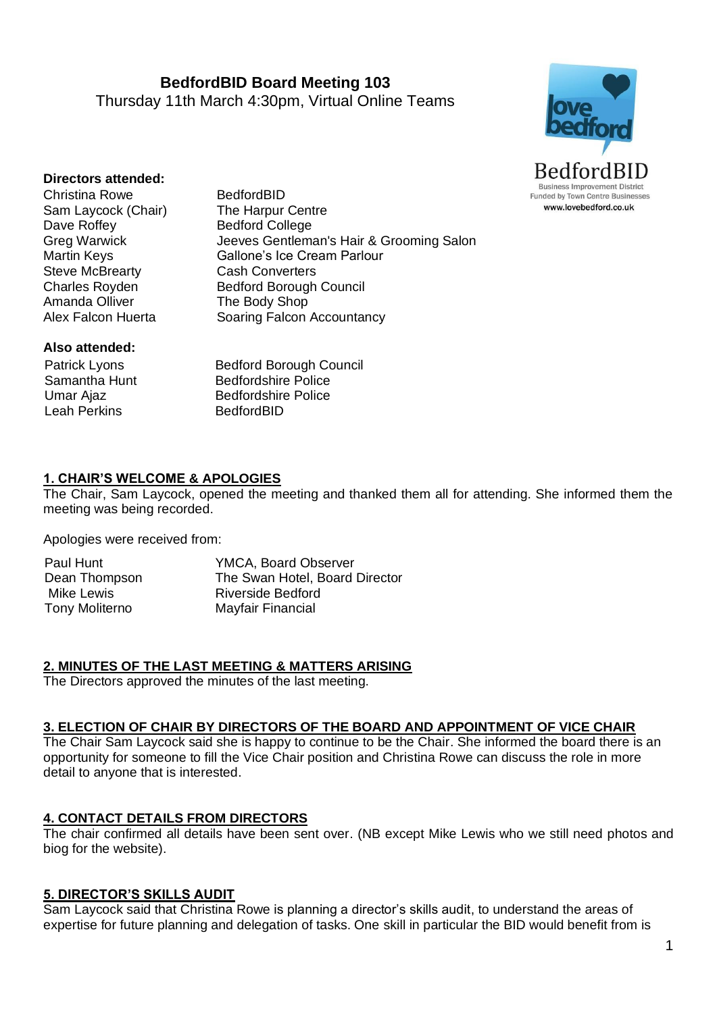**BedfordBID Board Meeting 103** Thursday 11th March 4:30pm, Virtual Online Teams



#### **Directors attended:**

Christina Rowe BedfordBID Sam Laycock (Chair) The Harpur Centre Dave Roffey Bedford College Steve McBrearty **Cash Converters** Amanda Olliver The Body Shop

Greg Warwick Jeeves Gentleman's Hair & Grooming Salon Martin Keys Gallone's Ice Cream Parlour Charles Royden Bedford Borough Council Alex Falcon Huerta Soaring Falcon Accountancy

#### **Also attended:**

Patrick Lyons Samantha Hunt Umar Ajaz Leah Perkins

 Bedford Borough Council Bedfordshire Police Bedfordshire Police BedfordBID

#### **1. CHAIR'S WELCOME & APOLOGIES**

The Chair, Sam Laycock, opened the meeting and thanked them all for attending. She informed them the meeting was being recorded.

Apologies were received from:

| Paul Hunt      | <b>YMCA, Board Observer</b>    |
|----------------|--------------------------------|
| Dean Thompson  | The Swan Hotel, Board Director |
| Mike Lewis     | Riverside Bedford              |
| Tony Moliterno | Mayfair Financial              |

#### **2. MINUTES OF THE LAST MEETING & MATTERS ARISING**

The Directors approved the minutes of the last meeting.

#### **3. ELECTION OF CHAIR BY DIRECTORS OF THE BOARD AND APPOINTMENT OF VICE CHAIR**

The Chair Sam Laycock said she is happy to continue to be the Chair. She informed the board there is an opportunity for someone to fill the Vice Chair position and Christina Rowe can discuss the role in more detail to anyone that is interested.

#### **4. CONTACT DETAILS FROM DIRECTORS**

The chair confirmed all details have been sent over. (NB except Mike Lewis who we still need photos and biog for the website).

#### **5. DIRECTOR'S SKILLS AUDIT**

Sam Laycock said that Christina Rowe is planning a director's skills audit, to understand the areas of expertise for future planning and delegation of tasks. One skill in particular the BID would benefit from is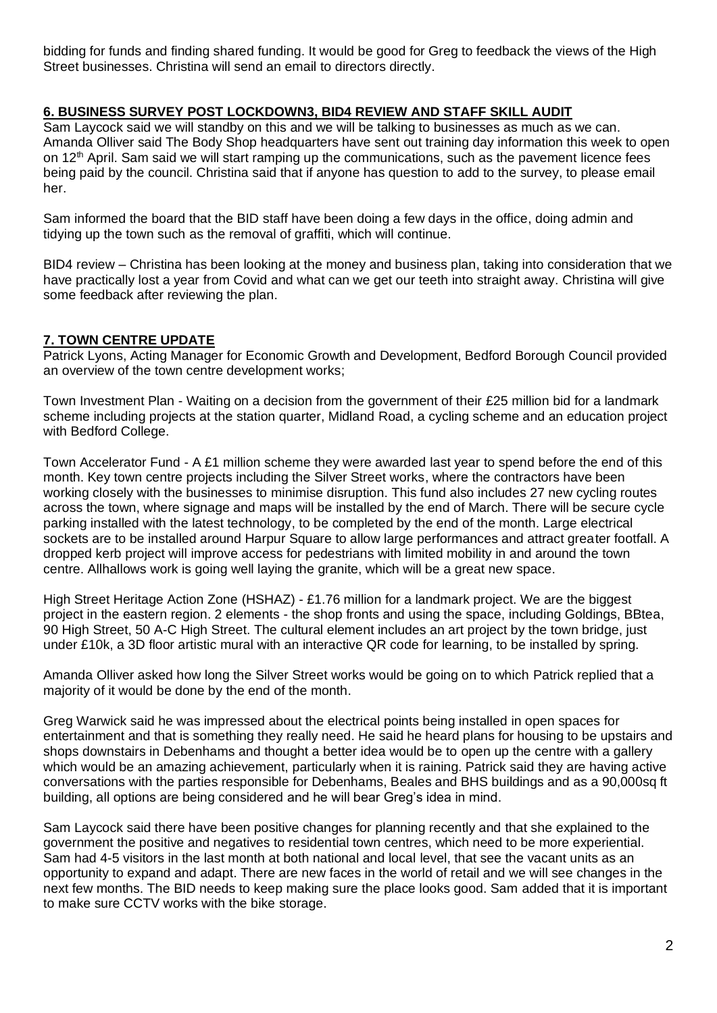bidding for funds and finding shared funding. It would be good for Greg to feedback the views of the High Street businesses. Christina will send an email to directors directly.

## **6. BUSINESS SURVEY POST LOCKDOWN3, BID4 REVIEW AND STAFF SKILL AUDIT**

Sam Laycock said we will standby on this and we will be talking to businesses as much as we can. Amanda Olliver said The Body Shop headquarters have sent out training day information this week to open on  $12<sup>th</sup>$  April. Sam said we will start ramping up the communications, such as the pavement licence fees being paid by the council. Christina said that if anyone has question to add to the survey, to please email her.

Sam informed the board that the BID staff have been doing a few days in the office, doing admin and tidying up the town such as the removal of graffiti, which will continue.

BID4 review – Christina has been looking at the money and business plan, taking into consideration that we have practically lost a year from Covid and what can we get our teeth into straight away. Christina will give some feedback after reviewing the plan.

#### **7. TOWN CENTRE UPDATE**

Patrick Lyons, Acting Manager for Economic Growth and Development, Bedford Borough Council provided an overview of the town centre development works;

Town Investment Plan - Waiting on a decision from the government of their £25 million bid for a landmark scheme including projects at the station quarter, Midland Road, a cycling scheme and an education project with Bedford College.

Town Accelerator Fund - A £1 million scheme they were awarded last year to spend before the end of this month. Key town centre projects including the Silver Street works, where the contractors have been working closely with the businesses to minimise disruption. This fund also includes 27 new cycling routes across the town, where signage and maps will be installed by the end of March. There will be secure cycle parking installed with the latest technology, to be completed by the end of the month. Large electrical sockets are to be installed around Harpur Square to allow large performances and attract greater footfall. A dropped kerb project will improve access for pedestrians with limited mobility in and around the town centre. Allhallows work is going well laying the granite, which will be a great new space.

High Street Heritage Action Zone (HSHAZ) - £1.76 million for a landmark project. We are the biggest project in the eastern region. 2 elements - the shop fronts and using the space, including Goldings, BBtea, 90 High Street, 50 A-C High Street. The cultural element includes an art project by the town bridge, just under £10k, a 3D floor artistic mural with an interactive QR code for learning, to be installed by spring.

Amanda Olliver asked how long the Silver Street works would be going on to which Patrick replied that a majority of it would be done by the end of the month.

Greg Warwick said he was impressed about the electrical points being installed in open spaces for entertainment and that is something they really need. He said he heard plans for housing to be upstairs and shops downstairs in Debenhams and thought a better idea would be to open up the centre with a gallery which would be an amazing achievement, particularly when it is raining. Patrick said they are having active conversations with the parties responsible for Debenhams, Beales and BHS buildings and as a 90,000sq ft building, all options are being considered and he will bear Greg's idea in mind.

Sam Laycock said there have been positive changes for planning recently and that she explained to the government the positive and negatives to residential town centres, which need to be more experiential. Sam had 4-5 visitors in the last month at both national and local level, that see the vacant units as an opportunity to expand and adapt. There are new faces in the world of retail and we will see changes in the next few months. The BID needs to keep making sure the place looks good. Sam added that it is important to make sure CCTV works with the bike storage.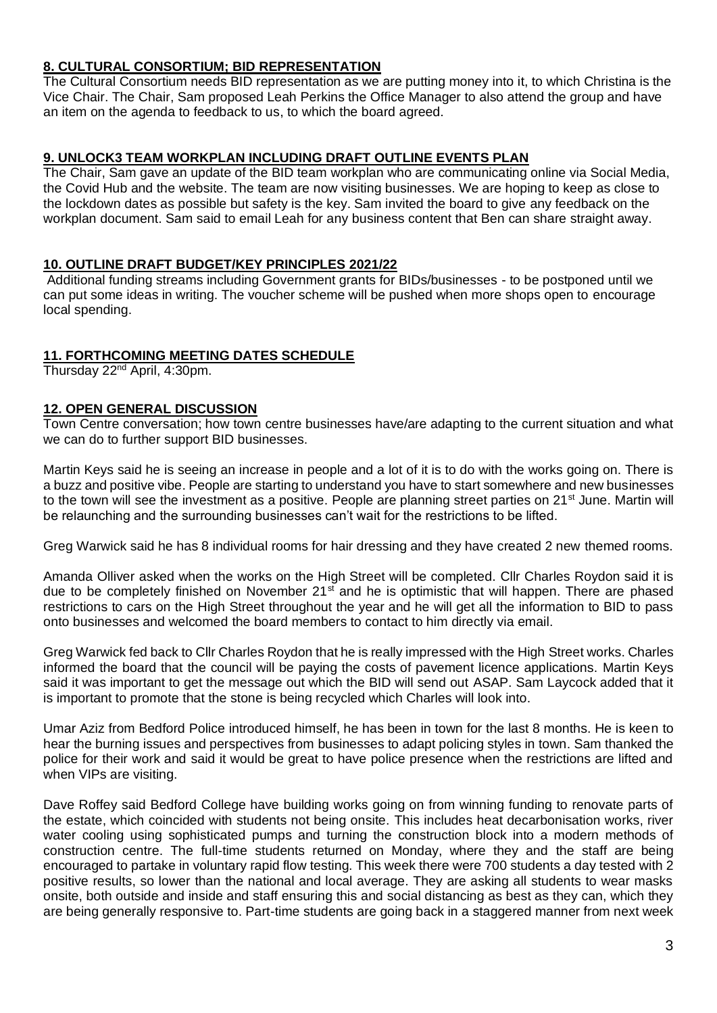## **8. CULTURAL CONSORTIUM; BID REPRESENTATION**

The Cultural Consortium needs BID representation as we are putting money into it, to which Christina is the Vice Chair. The Chair, Sam proposed Leah Perkins the Office Manager to also attend the group and have an item on the agenda to feedback to us, to which the board agreed.

### **9. UNLOCK3 TEAM WORKPLAN INCLUDING DRAFT OUTLINE EVENTS PLAN**

The Chair, Sam gave an update of the BID team workplan who are communicating online via Social Media, the Covid Hub and the website. The team are now visiting businesses. We are hoping to keep as close to the lockdown dates as possible but safety is the key. Sam invited the board to give any feedback on the workplan document. Sam said to email Leah for any business content that Ben can share straight away.

## **10. OUTLINE DRAFT BUDGET/KEY PRINCIPLES 2021/22**

Additional funding streams including Government grants for BIDs/businesses - to be postponed until we can put some ideas in writing. The voucher scheme will be pushed when more shops open to encourage local spending.

#### **11. FORTHCOMING MEETING DATES SCHEDULE**

Thursday 22<sup>nd</sup> April, 4:30pm.

#### **12. OPEN GENERAL DISCUSSION**

Town Centre conversation; how town centre businesses have/are adapting to the current situation and what we can do to further support BID businesses.

Martin Keys said he is seeing an increase in people and a lot of it is to do with the works going on. There is a buzz and positive vibe. People are starting to understand you have to start somewhere and new businesses to the town will see the investment as a positive. People are planning street parties on  $21<sup>st</sup>$  June. Martin will be relaunching and the surrounding businesses can't wait for the restrictions to be lifted.

Greg Warwick said he has 8 individual rooms for hair dressing and they have created 2 new themed rooms.

Amanda Olliver asked when the works on the High Street will be completed. Cllr Charles Roydon said it is due to be completely finished on November  $21<sup>st</sup>$  and he is optimistic that will happen. There are phased restrictions to cars on the High Street throughout the year and he will get all the information to BID to pass onto businesses and welcomed the board members to contact to him directly via email.

Greg Warwick fed back to Cllr Charles Roydon that he is really impressed with the High Street works. Charles informed the board that the council will be paying the costs of pavement licence applications. Martin Keys said it was important to get the message out which the BID will send out ASAP. Sam Laycock added that it is important to promote that the stone is being recycled which Charles will look into.

Umar Aziz from Bedford Police introduced himself, he has been in town for the last 8 months. He is keen to hear the burning issues and perspectives from businesses to adapt policing styles in town. Sam thanked the police for their work and said it would be great to have police presence when the restrictions are lifted and when VIPs are visiting.

Dave Roffey said Bedford College have building works going on from winning funding to renovate parts of the estate, which coincided with students not being onsite. This includes heat decarbonisation works, river water cooling using sophisticated pumps and turning the construction block into a modern methods of construction centre. The full-time students returned on Monday, where they and the staff are being encouraged to partake in voluntary rapid flow testing. This week there were 700 students a day tested with 2 positive results, so lower than the national and local average. They are asking all students to wear masks onsite, both outside and inside and staff ensuring this and social distancing as best as they can, which they are being generally responsive to. Part-time students are going back in a staggered manner from next week